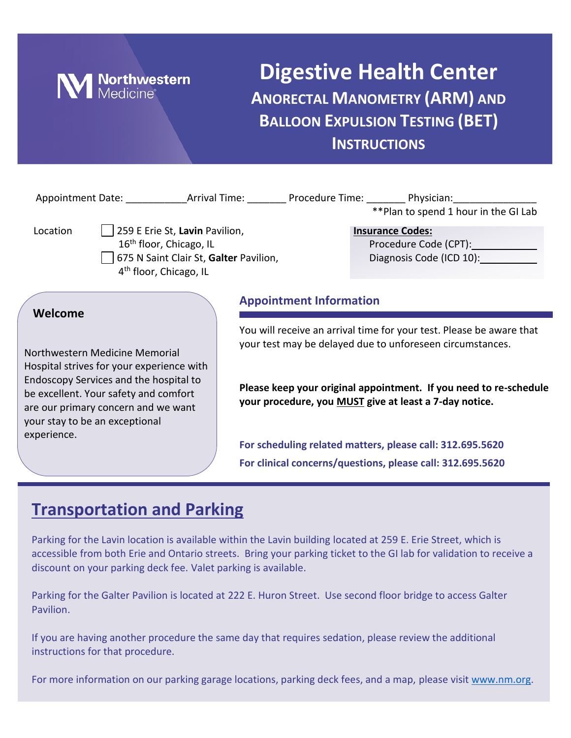

## **Digestive Health Center ANORECTAL MANOMETRY (ARM) AND BALLOON EXPULSION TESTING (BET) INSTRUCTIONS**

|                                                                                                                                                                     |                                                                                                                                                       | Appointment Date: ________________Arrival Time: ___________Procedure Time: __________Physician: ______________<br>**Plan to spend 1 hour in the GI Lab |  |  |
|---------------------------------------------------------------------------------------------------------------------------------------------------------------------|-------------------------------------------------------------------------------------------------------------------------------------------------------|--------------------------------------------------------------------------------------------------------------------------------------------------------|--|--|
| Location                                                                                                                                                            | 259 E Erie St, Lavin Pavilion,<br>16 <sup>th</sup> floor, Chicago, IL<br>675 N Saint Clair St, Galter Pavilion,<br>4 <sup>th</sup> floor, Chicago, IL | <b>Insurance Codes:</b><br>Diagnosis Code (ICD 10):                                                                                                    |  |  |
| Welcome                                                                                                                                                             |                                                                                                                                                       | <b>Appointment Information</b>                                                                                                                         |  |  |
| Northwestern Medicine Memorial                                                                                                                                      |                                                                                                                                                       | You will receive an arrival time for your test. Please be aware that<br>your test may be delayed due to unforeseen circumstances.                      |  |  |
| Hospital strives for your experience with<br>Endoscopy Services and the hospital to<br>be excellent. Your safety and comfort<br>are our primary concern and we want |                                                                                                                                                       | Please keep your original appointment. If you need to re-schedule<br>your procedure, you MUST give at least a 7-day notice.                            |  |  |

**For scheduling related matters, please call: 312.695.5620 For clinical concerns/questions, please call: 312.695.5620**

### **Transportation and Parking**

your stay to be an exceptional

experience.

Parking for the Lavin location is available within the Lavin building located at 259 E. Erie Street, which is accessible from both Erie and Ontario streets. Bring your parking ticket to the GI lab for validation to receive a discount on your parking deck fee. Valet parking is available.

Parking for the Galter Pavilion is located at 222 E. Huron Street. Use second floor bridge to access Galter Pavilion.

If you are having another procedure the same day that requires sedation, please review the additional instructions for that procedure.

For more information on our parking garage locations, parking deck fees, and a map, please visit [www.nm.org.](http://www.nm.org/)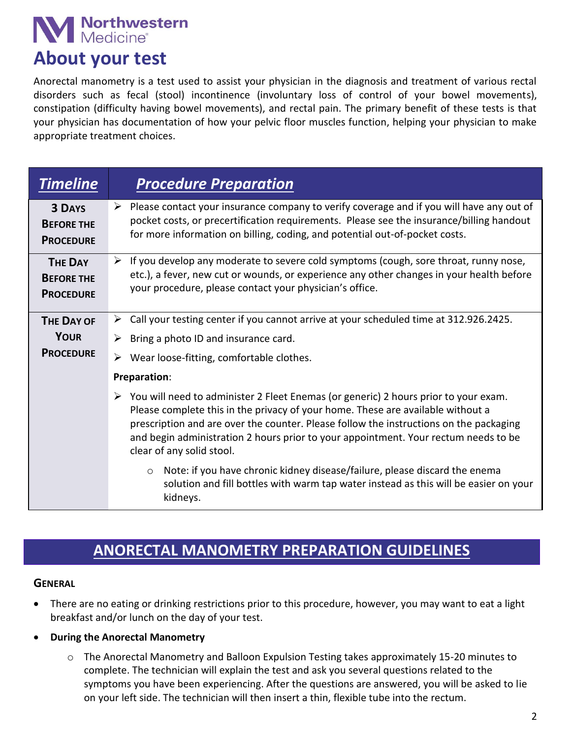# **Northwestern**<br>Medicine®

## **About your test**

Anorectal manometry is a test used to assist your physician in the diagnosis and treatment of various rectal disorders such as fecal (stool) incontinence (involuntary loss of control of your bowel movements), constipation (difficulty having bowel movements), and rectal pain. The primary benefit of these tests is that your physician has documentation of how your pelvic floor muscles function, helping your physician to make appropriate treatment choices.

| <b>Timeline</b>                                         | <b>Procedure Preparation</b>                                                                                                                                                                                                                                                                                                                                                                          |  |
|---------------------------------------------------------|-------------------------------------------------------------------------------------------------------------------------------------------------------------------------------------------------------------------------------------------------------------------------------------------------------------------------------------------------------------------------------------------------------|--|
| <b>3 DAYS</b><br><b>BEFORE THE</b><br><b>PROCEDURE</b>  | $\triangleright$ Please contact your insurance company to verify coverage and if you will have any out of<br>pocket costs, or precertification requirements. Please see the insurance/billing handout<br>for more information on billing, coding, and potential out-of-pocket costs.                                                                                                                  |  |
| <b>THE DAY</b><br><b>BEFORE THE</b><br><b>PROCEDURE</b> | $\triangleright$ If you develop any moderate to severe cold symptoms (cough, sore throat, runny nose,<br>etc.), a fever, new cut or wounds, or experience any other changes in your health before<br>your procedure, please contact your physician's office.                                                                                                                                          |  |
| <b>THE DAY OF</b>                                       | Call your testing center if you cannot arrive at your scheduled time at 312.926.2425.<br>➤                                                                                                                                                                                                                                                                                                            |  |
| <b>YOUR</b>                                             | Bring a photo ID and insurance card.<br>➤                                                                                                                                                                                                                                                                                                                                                             |  |
| <b>PROCEDURE</b>                                        | Wear loose-fitting, comfortable clothes.                                                                                                                                                                                                                                                                                                                                                              |  |
|                                                         | Preparation:                                                                                                                                                                                                                                                                                                                                                                                          |  |
|                                                         | $\triangleright$ You will need to administer 2 Fleet Enemas (or generic) 2 hours prior to your exam.<br>Please complete this in the privacy of your home. These are available without a<br>prescription and are over the counter. Please follow the instructions on the packaging<br>and begin administration 2 hours prior to your appointment. Your rectum needs to be<br>clear of any solid stool. |  |
|                                                         | Note: if you have chronic kidney disease/failure, please discard the enema<br>$\circ$<br>solution and fill bottles with warm tap water instead as this will be easier on your<br>kidneys.                                                                                                                                                                                                             |  |

### **ANORECTAL MANOMETRY PREPARATION GUIDELINES**

#### **GENERAL**

- There are no eating or drinking restrictions prior to this procedure, however, you may want to eat a light breakfast and/or lunch on the day of your test.
- **During the Anorectal Manometry**
	- o The Anorectal Manometry and Balloon Expulsion Testing takes approximately 15-20 minutes to complete. The technician will explain the test and ask you several questions related to the symptoms you have been experiencing. After the questions are answered, you will be asked to lie on your left side. The technician will then insert a thin, flexible tube into the rectum.